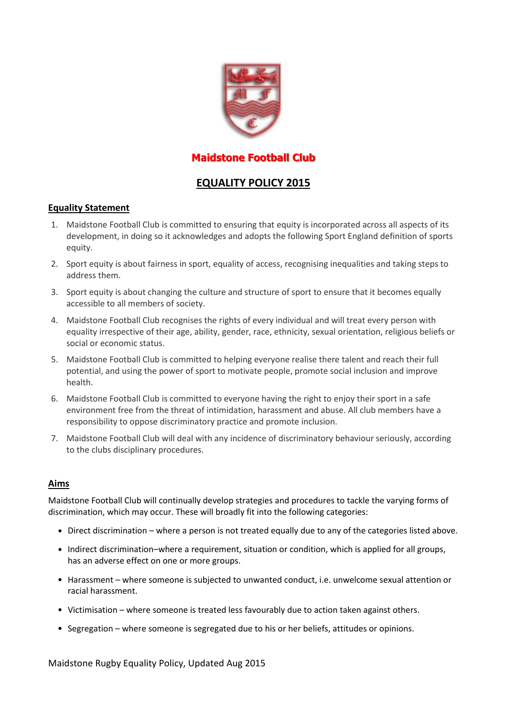

# **Maidstone Football Club**

## **EQUALITY POLICY 2015**

## **Equality Statement**

- 1. Maidstone Football Club is committed to ensuring that equity is incorporated across all aspects of its development, in doing so it acknowledges and adopts the following Sport England definition of sports equity.
- 2. Sport equity is about fairness in sport, equality of access, recognising inequalities and taking steps to address them.
- 3. Sport equity is about changing the culture and structure of sport to ensure that it becomes equally accessible to all members of society.
- 4. Maidstone Football Club recognises the rights of every individual and will treat every person with equality irrespective of their age, ability, gender, race, ethnicity, sexual orientation, religious beliefs or social or economic status.
- 5. Maidstone Football Club is committed to helping everyone realise there talent and reach their full potential, and using the power of sport to motivate people, promote social inclusion and improve health.
- 6. Maidstone Football Club is committed to everyone having the right to enjoy their sport in a safe environment free from the threat of intimidation, harassment and abuse. All club members have a responsibility to oppose discriminatory practice and promote inclusion.
- 7. Maidstone Football Club will deal with any incidence of discriminatory behaviour seriously, according to the clubs disciplinary procedures.

## **Aims**

Maidstone Football Club will continually develop strategies and procedures to tackle the varying forms of discrimination, which may occur. These will broadly fit into the following categories:

- Direct discrimination where a person is not treated equally due to any of the categories listed above.
- Indirect discrimination–where a requirement, situation or condition, which is applied for all groups, has an adverse effect on one or more groups.
- Harassment where someone is subjected to unwanted conduct, i.e. unwelcome sexual attention or racial harassment.
- Victimisation where someone is treated less favourably due to action taken against others.
- Segregation where someone is segregated due to his or her beliefs, attitudes or opinions.

Maidstone Rugby Equality Policy, Updated Aug 2015